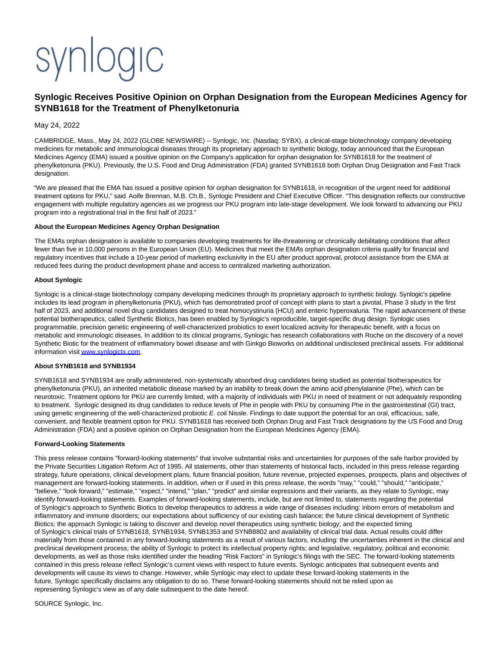# synlogic

# **Synlogic Receives Positive Opinion on Orphan Designation from the European Medicines Agency for SYNB1618 for the Treatment of Phenylketonuria**

## May 24, 2022

CAMBRIDGE, Mass., May 24, 2022 (GLOBE NEWSWIRE) -- Synlogic, Inc. (Nasdaq: SYBX), a clinical-stage biotechnology company developing medicines for metabolic and immunological diseases through its proprietary approach to synthetic biology, today announced that the European Medicines Agency (EMA) issued a positive opinion on the Company's application for orphan designation for SYNB1618 for the treatment of phenylketonuria (PKU). Previously, the U.S. Food and Drug Administration (FDA) granted SYNB1618 both Orphan Drug Designation and Fast Track designation.

"We are pleased that the EMA has issued a positive opinion for orphan designation for SYNB1618, in recognition of the urgent need for additional treatment options for PKU," said Aoife Brennan, M.B. Ch.B., Synlogic President and Chief Executive Officer. "This designation reflects our constructive engagement with multiple regulatory agencies as we progress our PKU program into late-stage development. We look forward to advancing our PKU program into a registrational trial in the first half of 2023."

### **About the European Medicines Agency Orphan Designation**

The EMA's orphan designation is available to companies developing treatments for life-threatening or chronically debilitating conditions that affect fewer than five in 10,000 persons in the European Union (EU). Medicines that meet the EMA's orphan designation criteria qualify for financial and regulatory incentives that include a 10-year period of marketing exclusivity in the EU after product approval, protocol assistance from the EMA at reduced fees during the product development phase and access to centralized marketing authorization.

### **About Synlogic**

Synlogic is a clinical-stage biotechnology company developing medicines through its proprietary approach to synthetic biology. Synlogic's pipeline includes its lead program in phenylketonuria (PKU), which has demonstrated proof of concept with plans to start a pivotal, Phase 3 study in the first half of 2023, and additional novel drug candidates designed to treat homocystinuria (HCU) and enteric hyperoxaluria. The rapid advancement of these potential biotherapeutics, called Synthetic Biotics, has been enabled by Synlogic's reproducible, target-specific drug design. Synlogic uses programmable, precision genetic engineering of well-characterized probiotics to exert localized activity for therapeutic benefit, with a focus on metabolic and immunologic diseases. In addition to its clinical programs, Synlogic has research collaborations with Roche on the discovery of a novel Synthetic Biotic for the treatment of inflammatory bowel disease and with Ginkgo Bioworks on additional undisclosed preclinical assets. For additional information visi[t www.synlogictx.com.](https://www.globenewswire.com/Tracker?data=zZPF_bnmYAnAYeeE3qRQngQ8r_MBT8fp0WEkGzKeJJEzd9ygwOyyJF_UmUtG9iOTBGg8B9WGcp4ZrVJo3Tfqf6K8N97liWBBMd4vyBdPnCQ=)

## **About SYNB1618 and SYNB1934**

SYNB1618 and SYNB1934 are orally administered, non-systemically absorbed drug candidates being studied as potential biotherapeutics for phenylketonuria (PKU), an inherited metabolic disease marked by an inability to break down the amino acid phenylalanine (Phe), which can be neurotoxic. Treatment options for PKU are currently limited, with a majority of individuals with PKU in need of treatment or not adequately responding to treatment. Synlogic designed its drug candidates to reduce levels of Phe in people with PKU by consuming Phe in the gastrointestinal (GI) tract, using genetic engineering of the well-characterized probiotic E. coli Nissle. Findings to date support the potential for an oral, efficacious, safe, convenient, and flexible treatment option for PKU. SYNB1618 has received both Orphan Drug and Fast Track designations by the US Food and Drug Administration (FDA) and a positive opinion on Orphan Designation from the European Medicines Agency (EMA).

### **Forward-Looking Statements**

This press release contains "forward-looking statements" that involve substantial risks and uncertainties for purposes of the safe harbor provided by the Private Securities Litigation Reform Act of 1995. All statements, other than statements of historical facts, included in this press release regarding strategy, future operations, clinical development plans, future financial position, future revenue, projected expenses, prospects, plans and objectives of management are forward-looking statements. In addition, when or if used in this press release, the words "may," "could," "should," "anticipate," "believe," "look forward," "estimate," "expect," "intend," "plan," "predict" and similar expressions and their variants, as they relate to Synlogic, may identify forward-looking statements. Examples of forward-looking statements, include, but are not limited to, statements regarding the potential of Synlogic's approach to Synthetic Biotics to develop therapeutics to address a wide range of diseases including: inborn errors of metabolism and inflammatory and immune disorders; our expectations about sufficiency of our existing cash balance; the future clinical development of Synthetic Biotics; the approach Synlogic is taking to discover and develop novel therapeutics using synthetic biology; and the expected timing of Synlogic's clinical trials of SYNB1618, SYNB1934, SYNB1353 and SYNB8802 and availability of clinical trial data. Actual results could differ materially from those contained in any forward-looking statements as a result of various factors, including: the uncertainties inherent in the clinical and preclinical development process; the ability of Synlogic to protect its intellectual property rights; and legislative, regulatory, political and economic developments, as well as those risks identified under the heading "Risk Factors" in Synlogic's filings with the SEC. The forward-looking statements contained in this press release reflect Synlogic's current views with respect to future events. Synlogic anticipates that subsequent events and developments will cause its views to change. However, while Synlogic may elect to update these forward-looking statements in the future, Synlogic specifically disclaims any obligation to do so. These forward-looking statements should not be relied upon as representing Synlogic's view as of any date subsequent to the date hereof.

SOURCE Synlogic, Inc.